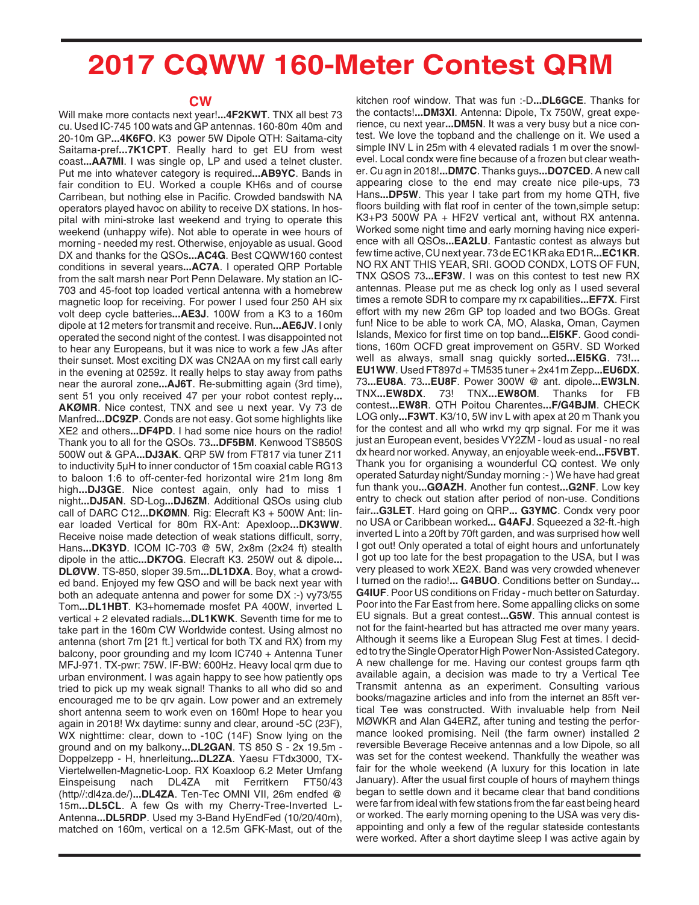## **2017 CQWW 160-Meter Contest QRM**

## **CW**

Will make more contacts next year!**...4F2KWT**. TNX all best 73 cu. Used IC-745 100 wats and GP antennas. 160-80m 40m and 20-10m GP**...4K6FO**. K3 power 5W Dipole QTH: Saitama-city Saitama-pref**...7K1CPT**. Really hard to get EU from west coast**...AA7MI**. I was single op, LP and used a telnet cluster. Put me into whatever category is required**...AB9YC**. Bands in fair condition to EU. Worked a couple KH6s and of course Carribean, but nothing else in Pacific. Crowded bandswith NA operators played havoc on ability to receive DX stations. In hospital with mini-stroke last weekend and trying to operate this weekend (unhappy wife). Not able to operate in wee hours of morning - needed my rest. Otherwise, enjoyable as usual. Good DX and thanks for the QSOs**...AC4G**. Best CQWW160 contest conditions in several years**...AC7A**. I operated QRP Portable from the salt marsh near Port Penn Delaware. My station an IC-703 and 45-foot top loaded vertical antenna with a homebrew magnetic loop for receiving. For power I used four 250 AH six volt deep cycle batteries**...AE3J**. 100W from a K3 to a 160m dipole at 12 meters for transmit and receive. Run**...AE6JV**. I only operated the second night of the contest. I was disappointed not to hear any Europeans, but it was nice to work a few JAs after their sunset. Most exciting DX was CN2AA on my first call early in the evening at 0259z. It really helps to stay away from paths near the auroral zone**...AJ6T**. Re-submitting again (3rd time), sent 51 you only received 47 per your robot contest reply**... AKØMR**. Nice contest, TNX and see u next year. Vy 73 de Manfred**...DC9ZP**. Conds are not easy. Got some highlights like XE2 and others**...DF4PD**. I had some nice hours on the radio! Thank you to all for the QSOs. 73**...DF5BM**. Kenwood TS850S 500W out & GPA**...DJ3AK**. QRP 5W from FT817 via tuner Z11 to inductivity 5µH to inner conductor of 15m coaxial cable RG13 to baloon 1:6 to off-center-fed horizontal wire 21m long 8m high**...DJ3GE**. Nice contest again, only had to miss 1 night**...DJ5AN**. SD-Log**...DJ6ZM**. Additional QSOs using club call of DARC C12**...DKØMN**. Rig: Elecraft K3 + 500W Ant: linear loaded Vertical for 80m RX-Ant: Apexloop**...DK3WW**. Receive noise made detection of weak stations difficult, sorry, Hans**...DK3YD**. ICOM IC-703 @ 5W, 2x8m (2x24 ft) stealth dipole in the attic**...DK7OG**. Elecraft K3. 250W out & dipole**... DLØVW**. TS-850, sloper 39.5m**...DL1DXA**. Boy, what a crowded band. Enjoyed my few QSO and will be back next year with both an adequate antenna and power for some DX :-) vy73/55 Tom**...DL1HBT**. K3+homemade mosfet PA 400W, inverted L vertical + 2 elevated radials**...DL1KWK**. Seventh time for me to take part in the 160m CW Worldwide contest. Using almost no antenna (short 7m [21 ft.] vertical for both TX and RX) from my balcony, poor grounding and my Icom IC740 + Antenna Tuner MFJ-971. TX-pwr: 75W. IF-BW: 600Hz. Heavy local qrm due to urban environment. I was again happy to see how patiently ops tried to pick up my weak signal! Thanks to all who did so and encouraged me to be qrv again. Low power and an extremely short antenna seem to work even on 160m! Hope to hear you again in 2018! Wx daytime: sunny and clear, around -5C (23F), WX nighttime: clear, down to -10C (14F) Snow lying on the ground and on my balkony**...DL2GAN**. TS 850 S - 2x 19.5m - Doppelzepp - H, hnerleitung**...DL2ZA**. Yaesu FTdx3000, TX-Viertelwellen-Magnetic-Loop. RX Koaxloop 6.2 Meter Umfang Einspeisung nach DL4ZA mit Ferritkern FT50/43 (http//:dl4za.de/)**...DL4ZA**. Ten-Tec OMNI VII, 26m endfed @ 15m**...DL5CL**. A few Qs with my Cherry-Tree-Inverted L-Antenna**...DL5RDP**. Used my 3-Band HyEndFed (10/20/40m), matched on 160m, vertical on a 12.5m GFK-Mast, out of the

kitchen roof window. That was fun :-D**...DL6GCE**. Thanks for the contacts!**...DM3XI**. Antenna: Dipole, Tx 750W, great experience, cu next year**...DM5N**. It was a very busy but a nice contest. We love the topband and the challenge on it. We used a simple INV L in 25m with 4 elevated radials 1 m over the snowlevel. Local condx were fine because of a frozen but clear weather. Cu agn in 2018!**...DM7C**. Thanks guys**...DO7CED**. A new call appearing close to the end may create nice pile-ups, 73 Hans**...DP5W**. This year I take part from my home QTH, five floors building with flat roof in center of the town,simple setup: K3+P3 500W PA + HF2V vertical ant, without RX antenna. Worked some night time and early morning having nice experience with all QSOs**...EA2LU**. Fantastic contest as always but few time active, CU next year. 73 de EC1KR aka ED1R**...EC1KR**. NO RX ANT THIS YEAR, SRI. GOOD CONDX, LOTS OF FUN, TNX QSOS 73**...EF3W**. I was on this contest to test new RX antennas. Please put me as check log only as I used several times a remote SDR to compare my rx capabilities**...EF7X**. First effort with my new 26m GP top loaded and two BOGs. Great fun! Nice to be able to work CA, MO, Alaska, Oman, Caymen Islands, Mexico for first time on top band**...EI5KF**. Good conditions, 160m OCFD great improvement on G5RV. SD Worked well as always, small snag quickly sorted**...EI5KG**. 73!**... EU1WW**. Used FT897d + TM535 tuner + 2x41m Zepp**...EU6DX**. 73**...EU8A**. 73**...EU8F**. Power 300W @ ant. dipole**...EW3LN**. TNX**...EW8DX**. 73! TNX**...EW8OM**. Thanks for FB contest**...EW8R**. QTH Poitou Charentes**...F/G4BJM**. CHECK LOG only**...F3WT**. K3/10, 5W inv L with apex at 20 m Thank you for the contest and all who wrkd my qrp signal. For me it was just an European event, besides VY2ZM - loud as usual - no real dx heard nor worked. Anyway, an enjoyable week-end**...F5VBT**. Thank you for organising a wounderful CQ contest. We only operated Saturday night/Sunday morning :- ) We have had great fun thank you**...GØAZH**. Another fun contest**...G2NF**. Low key entry to check out station after period of non-use. Conditions fair**...G3LET**. Hard going on QRP**... G3YMC**. Condx very poor no USA or Caribbean worked**... G4AFJ**. Squeezed a 32-ft.-high inverted L into a 20ft by 70ft garden, and was surprised how well I got out! Only operated a total of eight hours and unfortunately I got up too late for the best propagation to the USA, but I was very pleased to work XE2X. Band was very crowded whenever I turned on the radio!**... G4BUO**. Conditions better on Sunday**... G4IUF**. Poor US conditions on Friday - much better on Saturday. Poor into the Far East from here. Some appalling clicks on some EU signals. But a great contest**...G5W**. This annual contest is not for the faint-hearted but has attracted me over many years. Although it seems like a European Slug Fest at times. I decided to try the Single Operator High Power Non-Assisted Category. A new challenge for me. Having our contest groups farm qth available again, a decision was made to try a Vertical Tee Transmit antenna as an experiment. Consulting various books/magazine articles and info from the internet an 85ft vertical Tee was constructed. With invaluable help from Neil MØWKR and Alan G4ERZ, after tuning and testing the performance looked promising. Neil (the farm owner) installed 2 reversible Beverage Receive antennas and a low Dipole, so all was set for the contest weekend. Thankfully the weather was fair for the whole weekend (A luxury for this location in late January). After the usual first couple of hours of mayhem things began to settle down and it became clear that band conditions were far from ideal with few stations from the far east being heard or worked. The early morning opening to the USA was very disappointing and only a few of the regular stateside contestants were worked. After a short daytime sleep I was active again by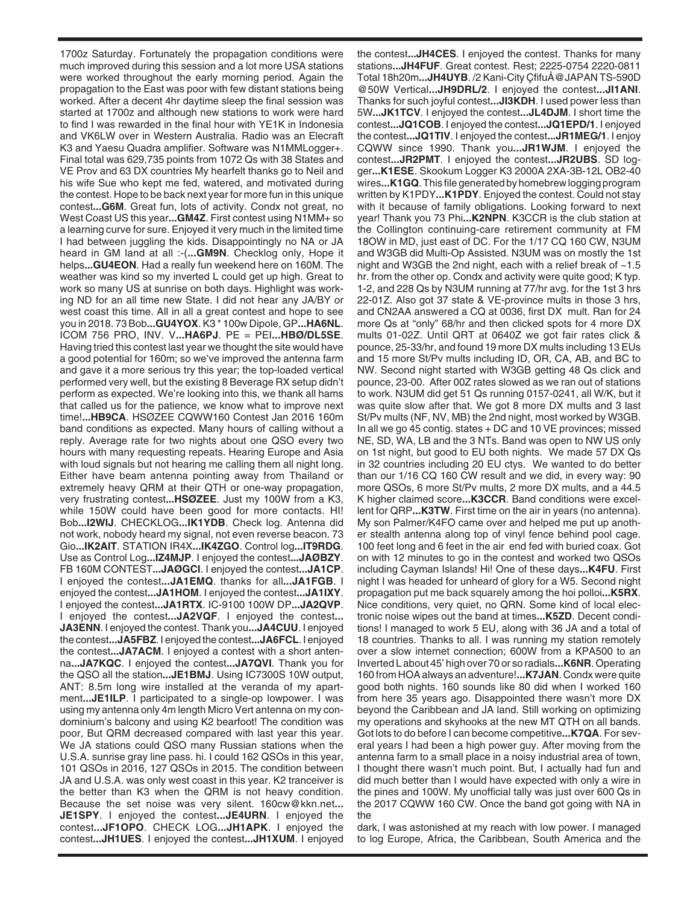1700z Saturday. Fortunately the propagation conditions were much improved during this session and a lot more USA stations were worked throughout the early morning period. Again the propagation to the East was poor with few distant stations being worked. After a decent 4hr daytime sleep the final session was started at 1700z and although new stations to work were hard to find I was rewarded in the final hour with YE1K in Indonesia and VK6LW over in Western Australia. Radio was an Elecraft K3 and Yaesu Quadra amplifier. Software was N1MMLogger+. Final total was 629,735 points from 1072 Qs with 38 States and VE Prov and 63 DX countries My hearfelt thanks go to Neil and his wife Sue who kept me fed, watered, and motivated during the contest. Hope to be back next year for more fun in this unique contest**...G6M**. Great fun, lots of activity. Condx not great, no West Coast US this year**...GM4Z**. First contest using N1MM+ so a learning curve for sure. Enjoyed it very much in the limited time I had between juggling the kids. Disappointingly no NA or JA heard in GM land at all :-(**...GM9N**. Checklog only, Hope it helps**...GU4EON**. Had a really fun weekend here on 160M. The weather was kind so my inverted L could get up high. Great to work so many US at sunrise on both days. Highlight was working ND for an all time new State. I did not hear any JA/BY or west coast this time. All in all a great contest and hope to see you in 2018. 73 Bob**...GU4YOX**. K3 \* 100w Dipole, GP**...HA6NL**. ICOM 756 PRO, INV. V**...HA6PJ**. PE = PEI**...HBØ/DL5SE**. Having tried this contest last year we thought the site would have a good potential for 160m; so we've improved the antenna farm and gave it a more serious try this year; the top-loaded vertical performed very well, but the existing 8 Beverage RX setup didn't perform as expected. We're looking into this, we thank all hams that called us for the patience, we know what to improve next time!**...HB9CA**. HSØZEE CQWW160 Contest Jan 2016 160m band conditions as expected. Many hours of calling without a reply. Average rate for two nights about one QSO every two hours with many requesting repeats. Hearing Europe and Asia with loud signals but not hearing me calling them all night long. Either have beam antenna pointing away from Thailand or extremely heavy QRM at their QTH or one-way propagation, very frustrating contest**...HSØZEE**. Just my 100W from a K3, while 150W could have been good for more contacts. HI! Bob**...I2WIJ**. CHECKLOG**...IK1YDB**. Check log. Antenna did not work, nobody heard my signal, not even reverse beacon. 73 Gio**...IK2AIT**. STATION IR4X**...IK4ZGO**. Control log**...IT9RDG**. Use as Control Log**...IZ4MJP**. I enjoyed the contest**...JAØBZY**. FB 160M CONTEST**...JAØGCI**. I enjoyed the contest**...JA1CP**. I enjoyed the contest**...JA1EMQ**. thanks for all**...JA1FGB**. I enjoyed the contest**...JA1HOM**. I enjoyed the contest**...JA1IXY**. I enjoyed the contest**...JA1RTX**. IC-9100 100W DP**...JA2QVP**. I enjoyed the contest**...JA2VQF**. I enjoyed the contest**... JA3ENN**. I enjoyed the contest. Thank you**...JA4CUU**. I enjoyed the contest**...JA5FBZ**. I enjoyed the contest**...JA6FCL**. I enjoyed the contest**...JA7ACM**. I enjoyed a contest with a short antenna**...JA7KQC**. I enjoyed the contest**...JA7QVI**. Thank you for the QSO all the station**...JE1BMJ**. Using IC7300S 10W output, ANT: 8.5m long wire installed at the veranda of my apartment**...JE1ILP**. I participated to a single-op lowpower. I was using my antenna only 4m length Micro Vert antenna on my condominium's balcony and using K2 bearfoot! The condition was poor, But QRM decreased compared with last year this year. We JA stations could QSO many Russian stations when the U.S.A. sunrise gray line pass. hi. I could 162 QSOs in this year, 101 QSOs in 2016, 127 QSOs in 2015. The condition between JA and U.S.A. was only west coast in this year. K2 tranceiver is the better than K3 when the QRM is not heavy condition. Because the set noise was very silent. 160cw@kkn.net**... JE1SPY**. I enjoyed the contest**...JE4URN**. I enjoyed the contest**...JF1OPO**. CHECK LOG**...JH1APK**. I enjoyed the contest**...JH1UES**. I enjoyed the contest**...JH1XUM**. I enjoyed the contest**...JH4CES**. I enjoyed the contest. Thanks for many stations**...JH4FUF**. Great contest. Rest; 2225-0754 2220-0811 Total 18h20m**...JH4UYB**. /2 Kani-City ÇfifuÅ@JAPAN TS-590D @50W Vertical**...JH9DRL/2**. I enjoyed the contest**...JI1ANI**. Thanks for such joyful contest**...JI3KDH**. I used power less than 5W**...JK1TCV**. I enjoyed the contest**...JL4DJM**. I short time the contest**...JQ1COB**. I enjoyed the contest**...JQ1EPD/1**. I enjoyed the contest**...JQ1TIV**. I enjoyed the contest**...JR1MEG/1**. I enjoy CQWW since 1990. Thank you**...JR1WJM**. I enjoyed the contest**...JR2PMT**. I enjoyed the contest**...JR2UBS**. SD logger**...K1ESE**. Skookum Logger K3 2000A 2XA-3B-12L OB2-40 wires**...K1GQ**. This file generated by homebrew logging program written by K1PDY**...K1PDY**. Enjoyed the contest. Could not stay with it because of family obligations. Looking forward to next year! Thank you 73 Phi**...K2NPN**. K3CCR is the club station at the Collington continuing-care retirement community at FM 18OW in MD, just east of DC. For the 1/17 CQ 160 CW, N3UM and W3GB did Multi-Op Assisted. N3UM was on mostly the 1st night and W3GB the 2nd night, each with a relief break of ~1.5 hr. from the other op. Condx and activity were quite good; K typ. 1-2, and 228 Qs by N3UM running at 77/hr avg. for the 1st 3 hrs 22-01Z. Also got 37 state & VE-province mults in those 3 hrs, and CN2AA answered a CQ at 0036, first DX mult. Ran for 24 more Qs at "only" 68/hr and then clicked spots for 4 more DX mults 01-02Z. Until QRT at 0640Z we got fair rates click & pounce, 25-33/hr, and found 19 more DX mults including 13 EUs and 15 more St/Pv mults including ID, OR, CA, AB, and BC to NW. Second night started with W3GB getting 48 Qs click and pounce, 23-00. After 00Z rates slowed as we ran out of stations to work. N3UM did get 51 Qs running 0157-0241, all W/K, but it was quite slow after that. We got 8 more DX mults and 3 last St/Pv mults (NF, NV, MB) the 2nd night, most worked by W3GB. In all we go 45 contig. states + DC and 10 VE provinces; missed NE, SD, WA, LB and the 3 NTs. Band was open to NW US only on 1st night, but good to EU both nights. We made 57 DX Qs in 32 countries including 20 EU ctys. We wanted to do better than our 1/16 CQ 160 CW result and we did, in every way: 90 more QSOs, 6 more St/Pv mults, 2 more DX mults, and a 44.5 K higher claimed score**...K3CCR**. Band conditions were excellent for QRP**...K3TW**. First time on the air in years (no antenna). My son Palmer/K4FO came over and helped me put up another stealth antenna along top of vinyl fence behind pool cage. 100 feet long and 6 feet in the air end fed with buried coax. Got on with 12 minutes to go in the contest and worked two QSOs including Cayman Islands! Hi! One of these days**...K4FU**. First night I was headed for unheard of glory for a W5. Second night propagation put me back squarely among the hoi polloi**...K5RX**. Nice conditions, very quiet, no QRN. Some kind of local electronic noise wipes out the band at times**...K5ZD**. Decent conditions! I managed to work 5 EU, along with 36 JA and a total of 18 countries. Thanks to all. I was running my station remotely over a slow internet connection; 600W from a KPA500 to an Inverted L about 45' high over 70 or so radials**...K6NR**. Operating 160 from HOA always an adventure!**...K7JAN**. Condx were quite good both nights. 160 sounds like 80 did when I worked 160 from here 35 years ago. Disappointed there wasn't more DX beyond the Caribbean and JA land. Still working on optimizing my operations and skyhooks at the new MT QTH on all bands. Got lots to do before I can become competitive**...K7QA**. For several years I had been a high power guy. After moving from the antenna farm to a small place in a noisy industrial area of town, I thought there wasn't much point. But, I actually had fun and did much better than I would have expected with only a wire in the pines and 100W. My unofficial tally was just over 600 Qs in the 2017 CQWW 160 CW. Once the band got going with NA in the

dark, I was astonished at my reach with low power. I managed to log Europe, Africa, the Caribbean, South America and the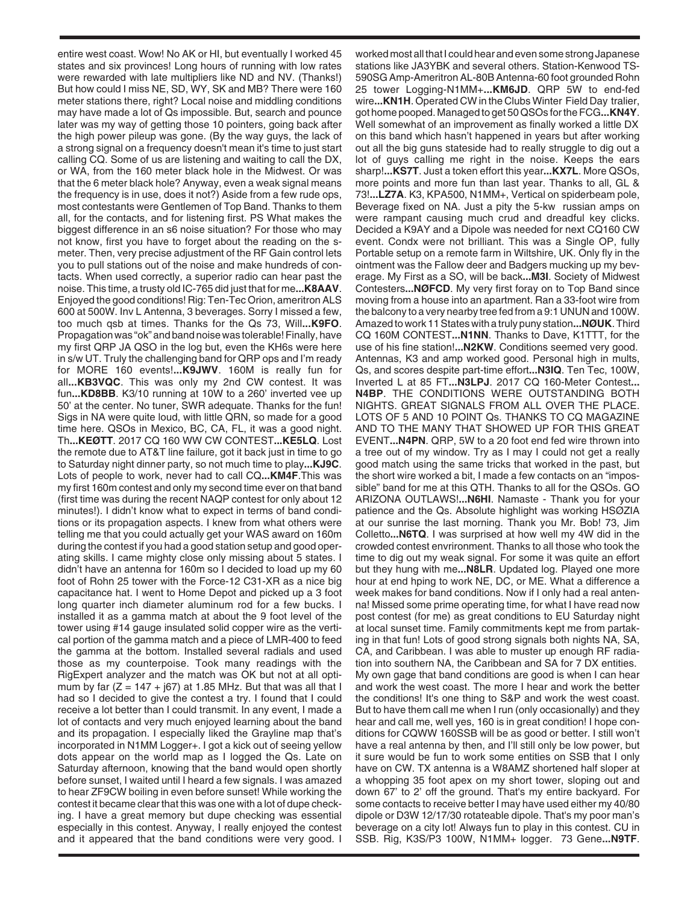entire west coast. Wow! No AK or HI, but eventually I worked 45 states and six provinces! Long hours of running with low rates were rewarded with late multipliers like ND and NV. (Thanks!) But how could I miss NE, SD, WY, SK and MB? There were 160 meter stations there, right? Local noise and middling conditions may have made a lot of Qs impossible. But, search and pounce later was my way of getting those 10 pointers, going back after the high power pileup was gone. (By the way guys, the lack of a strong signal on a frequency doesn't mean it's time to just start calling CQ. Some of us are listening and waiting to call the DX, or WA, from the 160 meter black hole in the Midwest. Or was that the 6 meter black hole? Anyway, even a weak signal means the frequency is in use, does it not?) Aside from a few rude ops, most contestants were Gentlemen of Top Band. Thanks to them all, for the contacts, and for listening first. PS What makes the biggest difference in an s6 noise situation? For those who may not know, first you have to forget about the reading on the smeter. Then, very precise adjustment of the RF Gain control lets you to pull stations out of the noise and make hundreds of contacts. When used correctly, a superior radio can hear past the noise. This time, a trusty old IC-765 did just that for me**...K8AAV**. Enjoyed the good conditions! Rig: Ten-Tec Orion, ameritron ALS 600 at 500W. Inv L Antenna, 3 beverages. Sorry I missed a few, too much qsb at times. Thanks for the Qs 73, Will**...K9FO**. Propagation was "ok" and band noise was tolerable! Finally, have my first QRP JA QSO in the log but, even the KH6s were here in s/w UT. Truly the challenging band for QRP ops and I'm ready for MORE 160 events!**...K9JWV**. 160M is really fun for all**...KB3VQC**. This was only my 2nd CW contest. It was fun**...KD8BB**. K3/10 running at 10W to a 260' inverted vee up 50' at the center. No tuner, SWR adequate. Thanks for the fun! Sigs in NA were quite loud, with little QRN, so made for a good time here. QSOs in Mexico, BC, CA, FL, it was a good night. Th**...KEØTT**. 2017 CQ 160 WW CW CONTEST**...KE5LQ**. Lost the remote due to AT&T line failure, got it back just in time to go to Saturday night dinner party, so not much time to play**...KJ9C**. Lots of people to work, never had to call CQ**...KM4F**.This was my first 160m contest and only my second time ever on that band (first time was during the recent NAQP contest for only about 12 minutes!). I didn't know what to expect in terms of band conditions or its propagation aspects. I knew from what others were telling me that you could actually get your WAS award on 160m during the contest if you had a good station setup and good operating skills. I came mighty close only missing about 5 states. I didn't have an antenna for 160m so I decided to load up my 60 foot of Rohn 25 tower with the Force-12 C31-XR as a nice big capacitance hat. I went to Home Depot and picked up a 3 foot long quarter inch diameter aluminum rod for a few bucks. I installed it as a gamma match at about the 9 foot level of the tower using #14 gauge insulated solid copper wire as the vertical portion of the gamma match and a piece of LMR-400 to feed the gamma at the bottom. Installed several radials and used those as my counterpoise. Took many readings with the RigExpert analyzer and the match was OK but not at all optimum by far  $(Z = 147 + j67)$  at 1.85 MHz. But that was all that I had so I decided to give the contest a try. I found that I could receive a lot better than I could transmit. In any event, I made a lot of contacts and very much enjoyed learning about the band and its propagation. I especially liked the Grayline map that's incorporated in N1MM Logger+. I got a kick out of seeing yellow dots appear on the world map as I logged the Qs. Late on Saturday afternoon, knowing that the band would open shortly before sunset, I waited until I heard a few signals. I was amazed to hear ZF9CW boiling in even before sunset! While working the contest it became clear that this was one with a lot of dupe checking. I have a great memory but dupe checking was essential especially in this contest. Anyway, I really enjoyed the contest and it appeared that the band conditions were very good. I

worked most all that I could hear and even some strong Japanese stations like JA3YBK and several others. Station-Kenwood TS-590SG Amp-Ameritron AL-80B Antenna-60 foot grounded Rohn 25 tower Logging-N1MM+**...KM6JD**. QRP 5W to end-fed wire**...KN1H**. Operated CW in the Clubs Winter Field Day tralier, got home pooped. Managed to get 50 QSOs for the FCG**...KN4Y**. Well somewhat of an improvement as finally worked a little DX on this band which hasn't happened in years but after working out all the big guns stateside had to really struggle to dig out a lot of guys calling me right in the noise. Keeps the ears sharp!**...KS7T**. Just a token effort this year**...KX7L**. More QSOs, more points and more fun than last year. Thanks to all, GL & 73!**...LZ7A**. K3, KPA500, N1MM+, Vertical on spiderbeam pole, Beverage fixed on NA. Just a pity the 5-kw russian amps on were rampant causing much crud and dreadful key clicks. Decided a K9AY and a Dipole was needed for next CQ160 CW event. Condx were not brilliant. This was a Single OP, fully Portable setup on a remote farm in Wiltshire, UK. Only fly in the ointment was the Fallow deer and Badgers mucking up my beverage. My First as a SO, will be back**...M3I**. Society of Midwest Contesters**...NØFCD**. My very first foray on to Top Band since moving from a house into an apartment. Ran a 33-foot wire from the balcony to a very nearby tree fed from a 9:1 UNUN and 100W. Amazed to work 11 States with a truly puny station**...NØUK**. Third CQ 160M CONTEST**...N1NN**. Thanks to Dave, K1TTT, for the use of his fine station!**...N2KW**. Conditions seemed very good. Antennas, K3 and amp worked good. Personal high in mults, Qs, and scores despite part-time effort**...N3IQ**. Ten Tec, 100W, Inverted L at 85 FT**...N3LPJ**. 2017 CQ 160-Meter Contest**... N4BP**. THE CONDITIONS WERE OUTSTANDING BOTH NIGHTS. GREAT SIGNALS FROM ALL OVER THE PLACE. LOTS OF 5 AND 10 POINT Qs. THANKS TO CQ MAGAZINE AND TO THE MANY THAT SHOWED UP FOR THIS GREAT EVENT**...N4PN**. QRP, 5W to a 20 foot end fed wire thrown into a tree out of my window. Try as I may I could not get a really good match using the same tricks that worked in the past, but the short wire worked a bit, I made a few contacts on an "impossible" band for me at this QTH. Thanks to all for the QSOs. GO ARIZONA OUTLAWS!**...N6HI**. Namaste - Thank you for your patience and the Qs. Absolute highlight was working HSØZIA at our sunrise the last morning. Thank you Mr. Bob! 73, Jim Colletto**...N6TQ**. I was surprised at how well my 4W did in the crowded contest envrironment. Thanks to all those who took the time to dig out my weak signal. For some it was quite an effort but they hung with me**...N8LR**. Updated log. Played one more hour at end hping to work NE, DC, or ME. What a difference a week makes for band conditions. Now if I only had a real antenna! Missed some prime operating time, for what I have read now post contest (for me) as great conditions to EU Saturday night at local sunset time. Family commitments kept me from partaking in that fun! Lots of good strong signals both nights NA, SA, CA, and Caribbean. I was able to muster up enough RF radiation into southern NA, the Caribbean and SA for 7 DX entities. My own gage that band conditions are good is when I can hear and work the west coast. The more I hear and work the better the conditions! It's one thing to S&P and work the west coast. But to have them call me when I run (only occasionally) and they hear and call me, well yes, 160 is in great condition! I hope conditions for CQWW 160SSB will be as good or better. I still won't have a real antenna by then, and I'll still only be low power, but it sure would be fun to work some entities on SSB that I only have on CW. TX antenna is a W8AMZ shortened half sloper at a whopping 35 foot apex on my short tower, sloping out and down 67' to 2' off the ground. That's my entire backyard. For some contacts to receive better I may have used either my 40/80 dipole or D3W 12/17/30 rotateable dipole. That's my poor man's beverage on a city lot! Always fun to play in this contest. CU in SSB. Rig, K3S/P3 100W, N1MM+ logger. 73 Gene**...N9TF**.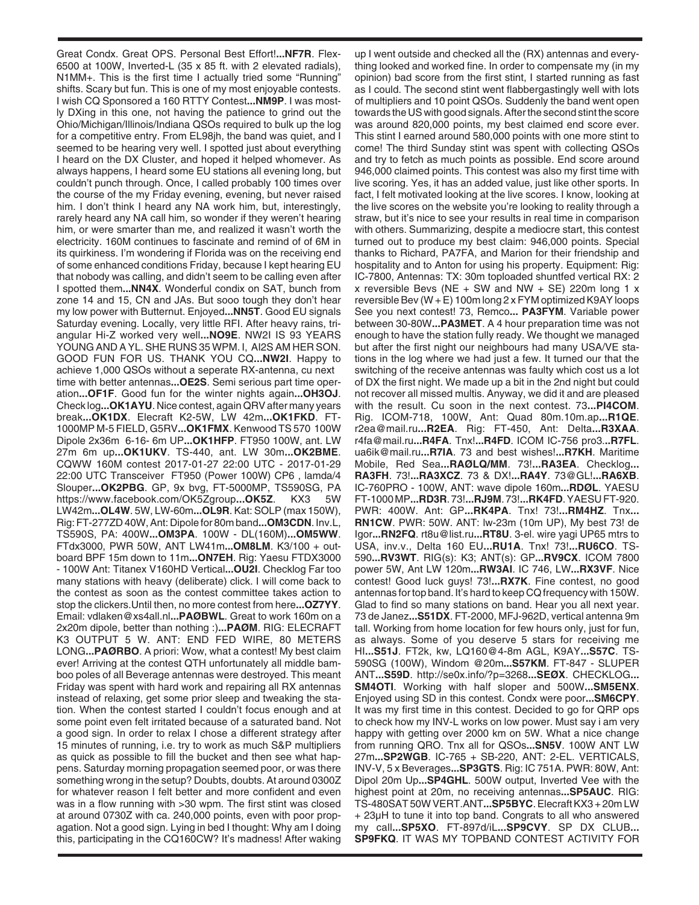Great Condx. Great OPS. Personal Best Effort!**...NF7R**. Flex-6500 at 100W, Inverted-L (35 x 85 ft. with 2 elevated radials), N1MM+. This is the first time I actually tried some "Running" shifts. Scary but fun. This is one of my most enjoyable contests. I wish CQ Sponsored a 160 RTTY Contest**...NM9P**. I was mostly DXing in this one, not having the patience to grind out the Ohio/Michigan/Illinois/Indiana QSOs required to bulk up the log for a competitive entry. From EL98jh, the band was quiet, and I seemed to be hearing very well. I spotted just about everything I heard on the DX Cluster, and hoped it helped whomever. As always happens, I heard some EU stations all evening long, but couldn't punch through. Once, I called probably 100 times over the course of the my Friday evening, evening, but never raised him. I don't think I heard any NA work him, but, interestingly, rarely heard any NA call him, so wonder if they weren't hearing him, or were smarter than me, and realized it wasn't worth the electricity. 160M continues to fascinate and remind of of 6M in its quirkiness. I'm wondering if Florida was on the receiving end of some enhanced conditions Friday, because I kept hearing EU that nobody was calling, and didn't seem to be calling even after I spotted them**...NN4X**. Wonderful condix on SAT, bunch from zone 14 and 15, CN and JAs. But sooo tough they don't hear my low power with Butternut. Enjoyed**...NN5T**. Good EU signals Saturday evening. Locally, very little RFI. After heavy rains, triangular Hi-Z worked very well**...NO9E**. NW2I IS 93 YEARS YOUNG AND A YL. SHE RUNS 35 WPM. I, AI2S AM HER SON. GOOD FUN FOR US. THANK YOU CQ**...NW2I**. Happy to achieve 1,000 QSOs without a seperate RX-antenna, cu next time with better antennas**...OE2S**. Semi serious part time operation**...OF1F**. Good fun for the winter nights again**...OH3OJ**. Check log**...OK1AYU**. Nice contest, again QRV after many years break**...OK1DX**. Elecraft K2-5W, LW 42m**...OK1FKD**. FT-1000MP M-5 FIELD, G5RV**...OK1FMX**. Kenwood TS 570 100W Dipole 2x36m 6-16- 6m UP**...OK1HFP**. FT950 100W, ant. LW 27m 6m up**...OK1UKV**. TS-440, ant. LW 30m**...OK2BME**. CQWW 160M contest 2017-01-27 22:00 UTC - 2017-01-29 22:00 UTC Transceiver FT950 (Power 100W) CP6 , lamda/4 Slouper**...OK2PBG**. GP, 9x bvg, FT-5000MP, TS590SG, PA https://www.facebook.com/OK5Zgroup**...OK5Z**. KX3 5W LW42m**...OL4W**. 5W, LW-60m**...OL9R**. Kat: SOLP (max 150W), Rig: FT-277ZD 40W, Ant: Dipole for 80m band**...OM3CDN**. Inv.L, TS590S, PA: 400W**...OM3PA**. 100W - DL(160M)**...OM5WW**. FTdx3000, PWR 50W, ANT LW41m**...OM8LM**. K3/100 + outboard BPF 15m down to 11m**...ON7EH**. Rig: Yaesu FTDX3000 - 100W Ant: Titanex V160HD Vertical**...OU2I**. Checklog Far too many stations with heavy (deliberate) click. I will come back to the contest as soon as the contest committee takes action to stop the clickers.Until then, no more contest from here**...OZ7YY**. Email: vdlaken@xs4all.nl**...PAØBWL**. Great to work 160m on a 2x20m dipole, better than nothing :)**...PAØM**. RIG: ELECRAFT K3 OUTPUT 5 W. ANT: END FED WIRE, 80 METERS LONG**...PAØRBO**. A priori: Wow, what a contest! My best claim ever! Arriving at the contest QTH unfortunately all middle bamboo poles of all Beverage antennas were destroyed. This meant Friday was spent with hard work and repairing all RX antennas instead of relaxing, get some prior sleep and tweaking the station. When the contest started I couldn't focus enough and at some point even felt irritated because of a saturated band. Not a good sign. In order to relax I chose a different strategy after 15 minutes of running, i.e. try to work as much S&P multipliers as quick as possible to fill the bucket and then see what happens. Saturday morning propagation seemed poor, or was there something wrong in the setup? Doubts, doubts. At around 0300Z for whatever reason I felt better and more confident and even was in a flow running with >30 wpm. The first stint was closed at around 0730Z with ca. 240,000 points, even with poor propagation. Not a good sign. Lying in bed I thought: Why am I doing this, participating in the CQ160CW? It's madness! After waking

up I went outside and checked all the (RX) antennas and everything looked and worked fine. In order to compensate my (in my opinion) bad score from the first stint, I started running as fast as I could. The second stint went flabbergastingly well with lots of multipliers and 10 point QSOs. Suddenly the band went open towards the US with good signals. After the second stint the score was around 820,000 points, my best claimed end score ever. This stint I earned around 580,000 points with one more stint to come! The third Sunday stint was spent with collecting QSOs and try to fetch as much points as possible. End score around 946,000 claimed points. This contest was also my first time with live scoring. Yes, it has an added value, just like other sports. In fact, I felt motivated looking at the live scores. I know, looking at the live scores on the website you're looking to reality through a straw, but it's nice to see your results in real time in comparison with others. Summarizing, despite a mediocre start, this contest turned out to produce my best claim: 946,000 points. Special thanks to Richard, PA7FA, and Marion for their friendship and hospitality and to Anton for using his property. Equipment: Rig: IC-7800, Antennas: TX: 30m toploaded shuntfed vertical RX: 2 x reversible Bevs ( $NE + SW$  and  $NW + SE$ ) 220m long 1 x reversible Bev (W + E) 100m long 2 x FYM optimized K9AY loops See you next contest! 73, Remco**... PA3FYM**. Variable power between 30-80W**...PA3MET**. A 4 hour preparation time was not enough to have the station fully ready. We thought we managed but after the first night our neighbours had many USA/VE stations in the log where we had just a few. It turned our that the switching of the receive antennas was faulty which cost us a lot of DX the first night. We made up a bit in the 2nd night but could not recover all missed multis. Anyway, we did it and are pleased with the result. Cu soon in the next contest. 73**...PI4COM**. Rig. ICOM-718, 100W, Ant: Quad 80m.10m.ap**...R1QE**. r2ea@mail.ru**...R2EA**. Rig: FT-450, Ant: Delta**...R3XAA**. r4fa@mail.ru**...R4FA**. Tnx!**...R4FD**. ICOM IC-756 pro3.**..R7FL**. ua6ik@mail.ru**...R7IA**. 73 and best wishes!**...R7KH**. Maritime Mobile, Red Sea**...RAØLQ/MM**. 73!**...RA3EA**. Checklog**... RA3FH**. 73!**...RA3XCZ**. 73 & DX!**...RA4Y**. 73@GL!**...RA6XB**. IC-760PRO - 100W, ANT: wave dipole 160m**...RDØL**. YAESU FT-1000 MP**...RD3R**. 73!**...RJ9M**. 73!**...RK4FD**. YAESU FT-920. PWR: 400W. Ant: GP**...RK4PA**. Tnx! 73!**...RM4HZ**. Tnx**... RN1CW**. PWR: 50W. ANT: lw-23m (10m UP), My best 73! de Igor**...RN2FQ**. rt8u@list.ru**...RT8U**. 3-el. wire yagi UP65 mtrs to USA, inv.v., Delta 160 EU**...RU1A**. Tnx! 73!**...RU6CO**. TS-590**...RV3WT**. RIG(s): K3; ANT(s): GP**...RV9CX**. ICOM 7800 power 5W, Ant LW 120m**...RW3AI**. IC 746, LW**...RX3VF**. Nice contest! Good luck guys! 73!**...RX7K**. Fine contest, no good antennas for top band. It's hard to keep CQ frequency with 150W. Glad to find so many stations on band. Hear you all next year. 73 de Janez**...S51DX**. FT-2000, MFJ-962D, vertical antenna 9m tall. Working from home location for few hours only, just for fun, as always. Some of you deserve 5 stars for receiving me HI**...S51J**. FT2k, kw, LQ160@4-8m AGL, K9AY**...S57C**. TS-590SG (100W), Windom @20m**...S57KM**. FT-847 - SLUPER ANT**...S59D**. http://se0x.info/?p=3268**...SEØX**. CHECKLOG**... SM4OTI**. Working with half sloper and 500W**...SM5ENX**. Enjoyed using SD in this contest. Condx were poor**...SM6CPY**. It was my first time in this contest. Decided to go for QRP ops to check how my INV-L works on low power. Must say i am very happy with getting over 2000 km on 5W. What a nice change from running QRO. Tnx all for QSOs**...SN5V**. 100W ANT LW 27m**...SP2WGB**. IC-765 + SB-220, ANT: 2-EL. VERTICALS, INV-V, 5 x Beverages**...SP3GTS**. Rig: IC 751A. PWR: 80W, Ant: Dipol 20m Up**...SP4GHL**. 500W output, Inverted Vee with the highest point at 20m, no receiving antennas**...SP5AUC**. RIG: TS-480SAT 50W VERT.ANT**...SP5BYC**. Elecraft KX3 + 20m LW + 23µH to tune it into top band. Congrats to all who answered my call**...SP5XO**. FT-897d/iL**...SP9CVY**. SP DX CLUB**... SP9FKQ**. IT WAS MY TOPBAND CONTEST ACTIVITY FOR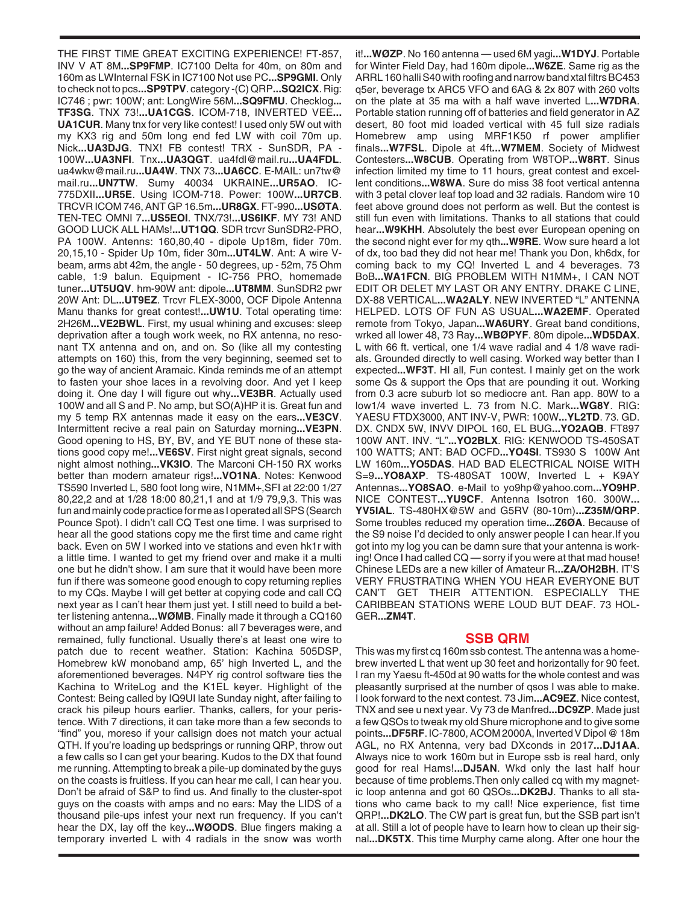THE FIRST TIME GREAT EXCITING EXPERIENCE! FT-857, INV V AT 8M**...SP9FMP**. IC7100 Delta for 40m, on 80m and 160m as LWInternal FSK in IC7100 Not use PC**...SP9GMI**. Only to check not to pcs**...SP9TPV**. category -(C) QRP**...SQ2ICX**. Rig: IC746 ; pwr: 100W; ant: LongWire 56M**...SQ9FMU**. Checklog**... TF3SG**. TNX 73!**...UA1CGS**. ICOM-718, INVERTED VEE**... UA1CUR**. Many tnx for very like contest! I used only 5W out with my KX3 rig and 50m long end fed LW with coil 70m up. Nick**...UA3DJG**. TNX! FB contest! TRX - SunSDR, PA - 100W**...UA3NFI**. Tnx**...UA3QGT**. ua4fdl@mail.ru**...UA4FDL**. ua4wkw@mail.ru**...UA4W**. TNX 73**...UA6CC**. E-MAIL: un7tw@ mail.ru**...UN7TW**. Sumy 40034 UKRAINE**...UR5AO**. IC-775DXII**...UR5E**. Using ICOM-718. Power: 100W**...UR7CB**. TRCVR ICOM 746, ANT GP 16.5m**...UR8GX**. FT-990**...USØTA**. TEN-TEC OMNI 7**...US5EOI**. TNX/73!**...US6IKF**. MY 73! AND GOOD LUCK ALL HAMs!**...UT1QQ**. SDR trcvr SunSDR2-PRO, PA 100W. Antenns: 160,80,40 - dipole Up18m, fider 70m. 20,15,10 - Spider Up 10m, fider 30m**...UT4LW**. Ant: A wire Vbeam, arms abt 42m, the angle - 50 degrees, up - 52m, 75 Ohm cable, 1:9 balun. Equipment - IC-756 PRO, homemade tuner**...UT5UQV**. hm-90W ant: dipole**...UT8MM**. SunSDR2 pwr 20W Ant: DL**...UT9EZ**. Trcvr FLEX-3000, OCF Dipole Antenna Manu thanks for great contest!**...UW1U**. Total operating time: 2H26M**...VE2BWL**. First, my usual whining and excuses: sleep deprivation after a tough work week, no RX antenna, no resonant TX antenna and on, and on. So (like all my contesting attempts on 160) this, from the very beginning, seemed set to go the way of ancient Aramaic. Kinda reminds me of an attempt to fasten your shoe laces in a revolving door. And yet I keep doing it. One day I will figure out why**...VE3BR**. Actually used 100W and all S and P. No amp, but SO(A)HP it is. Great fun and my 5 temp RX antennas made it easy on the ears**...VE3CV**. Intermittent recive a real pain on Saturday morning**...VE3PN**. Good opening to HS, BY, BV, and YE BUT none of these stations good copy me!**...VE6SV**. First night great signals, second night almost nothing**...VK3IO**. The Marconi CH-150 RX works better than modern amateur rigs!**...VO1NA**. Notes: Kenwood TS590 Inverted L, 580 foot long wire, N1MM+,SFI at 22:00 1/27 80,22,2 and at 1/28 18:00 80,21,1 and at 1/9 79,9,3. This was fun and mainly code practice for me as I operated all SPS (Search Pounce Spot). I didn't call CQ Test one time. I was surprised to hear all the good stations copy me the first time and came right back. Even on 5W I worked into ve stations and even hk1r with a little time. I wanted to get my friend over and make it a multi one but he didn't show. I am sure that it would have been more fun if there was someone good enough to copy returning replies to my CQs. Maybe I will get better at copying code and call CQ next year as I can't hear them just yet. I still need to build a better listening antenna**...WØMB**. Finally made it through a CQ160 without an amp failure! Added Bonus: all 7 beverages were, and remained, fully functional. Usually there's at least one wire to patch due to recent weather. Station: Kachina 505DSP, Homebrew kW monoband amp, 65' high Inverted L, and the aforementioned beverages. N4PY rig control software ties the Kachina to WriteLog and the K1EL keyer. Highlight of the Contest: Being called by IQ9UI late Sunday night, after failing to crack his pileup hours earlier. Thanks, callers, for your peristence. With 7 directions, it can take more than a few seconds to "find" you, moreso if your callsign does not match your actual QTH. If you're loading up bedsprings or running QRP, throw out a few calls so I can get your bearing. Kudos to the DX that found me running. Attempting to break a pile-up dominated by the guys on the coasts is fruitless. If you can hear me call, I can hear you. Don't be afraid of S&P to find us. And finally to the cluster-spot guys on the coasts with amps and no ears: May the LIDS of a thousand pile-ups infest your next run frequency. If you can't hear the DX, lay off the key**...WØODS**. Blue fingers making a temporary inverted L with 4 radials in the snow was worth

it!**...WØZP**. No 160 antenna — used 6M yagi**...W1DYJ**. Portable for Winter Field Day, had 160m dipole**...W6ZE**. Same rig as the ARRL 160 halli S40 with roofing and narrow band xtal filtrs BC453 q5er, beverage tx ARC5 VFO and 6AG & 2x 807 with 260 volts on the plate at 35 ma with a half wave inverted L**...W7DRA**. Portable station running off of batteries and field generator in AZ desert, 80 foot mid loaded vertical with 45 full size radials Homebrew amp using MRF1K50 rf power amplifier finals**...W7FSL**. Dipole at 4ft**...W7MEM**. Society of Midwest Contesters**...W8CUB**. Operating from W8TOP**...W8RT**. Sinus infection limited my time to 11 hours, great contest and excellent conditions**...W8WA**. Sure do miss 38 foot vertical antenna with 3 petal clover leaf top load and 32 radials. Random wire 10 feet above ground does not perform as well. But the contest is still fun even with limitations. Thanks to all stations that could hear**...W9KHH**. Absolutely the best ever European opening on the second night ever for my qth**...W9RE**. Wow sure heard a lot of dx, too bad they did not hear me! Thank you Don, kh6dx, for coming back to my CQ! Inverted L and 4 beverages. 73 BoB**...WA1FCN**. BIG PROBLEM WITH N1MM+, I CAN NOT EDIT OR DELET MY LAST OR ANY ENTRY. DRAKE C LINE, DX-88 VERTICAL**...WA2ALY**. NEW INVERTED "L" ANTENNA HELPED. LOTS OF FUN AS USUAL**...WA2EMF**. Operated remote from Tokyo, Japan**...WA6URY**. Great band conditions, wrked all lower 48, 73 Ray**...WBØPYF**. 80m dipole**...WD5DAX**. L with 66 ft. vertical, one 1/4 wave radial and 4 1/8 wave radials. Grounded directly to well casing. Worked way better than I expected**...WF3T**. HI all, Fun contest. I mainly get on the work some Qs & support the Ops that are pounding it out. Working from 0.3 acre suburb lot so mediocre ant. Ran app. 80W to a low1/4 wave inverted L. 73 from N.C. Mark**...WG8Y**. RIG: YAESU FTDX3000, ANT INV-V, PWR: 100W**...YL2TD**. 73. GD. DX. CNDX 5W, INVV DIPOL 160, EL BUG**...YO2AQB**. FT897 100W ANT. INV. "L"**...YO2BLX**. RIG: KENWOOD TS-450SAT 100 WATTS; ANT: BAD OCFD**...YO4SI**. TS930 S 100W Ant LW 160m**...YO5DAS**. HAD BAD ELECTRICAL NOISE WITH S=9**...YO8AXP**. TS-480SAT 100W, Inverted L + K9AY Antennas**...YO8SAO**. e-Mail to yo9hp@yahoo.com**...YO9HP**. NICE CONTEST**...YU9CF**. Antenna Isotron 160. 300W**... YV5IAL**. TS-480HX@5W and G5RV (80-10m)**...Z35M/QRP**. Some troubles reduced my operation time**...Z6ØA**. Because of the S9 noise I'd decided to only answer people I can hear.If you got into my log you can be damn sure that your antenna is working! Once I had called CQ — sorry if you were at that mad house! Chinese LEDs are a new killer of Amateur R**...ZA/OH2BH**. IT'S VERY FRUSTRATING WHEN YOU HEAR EVERYONE BUT CAN'T GET THEIR ATTENTION. ESPECIALLY THE CARIBBEAN STATIONS WERE LOUD BUT DEAF. 73 HOL-GER**...ZM4T**.

## **SSB QRM**

This was my first cq 160m ssb contest. The antenna was a homebrew inverted L that went up 30 feet and horizontally for 90 feet. I ran my Yaesu ft-450d at 90 watts for the whole contest and was pleasantly surprised at the number of qsos I was able to make. I look forward to the next contest. 73 Jim**...AC9EZ**. Nice contest, TNX and see u next year. Vy 73 de Manfred**...DC9ZP**. Made just a few QSOs to tweak my old Shure microphone and to give some points**...DF5RF**. IC-7800, ACOM 2000A, Inverted V Dipol @ 18m AGL, no RX Antenna, very bad DXconds in 2017**...DJ1AA**. Always nice to work 160m but in Europe ssb is real hard, only good for real Hams!**...DJ5AN**. Wkd only the last half hour because of time problems.Then only called cq with my magnetic loop antenna and got 60 QSOs**...DK2BJ**. Thanks to all stations who came back to my call! Nice experience, fist time QRP!**...DK2LO**. The CW part is great fun, but the SSB part isn't at all. Still a lot of people have to learn how to clean up their signal**...DK5TX**. This time Murphy came along. After one hour the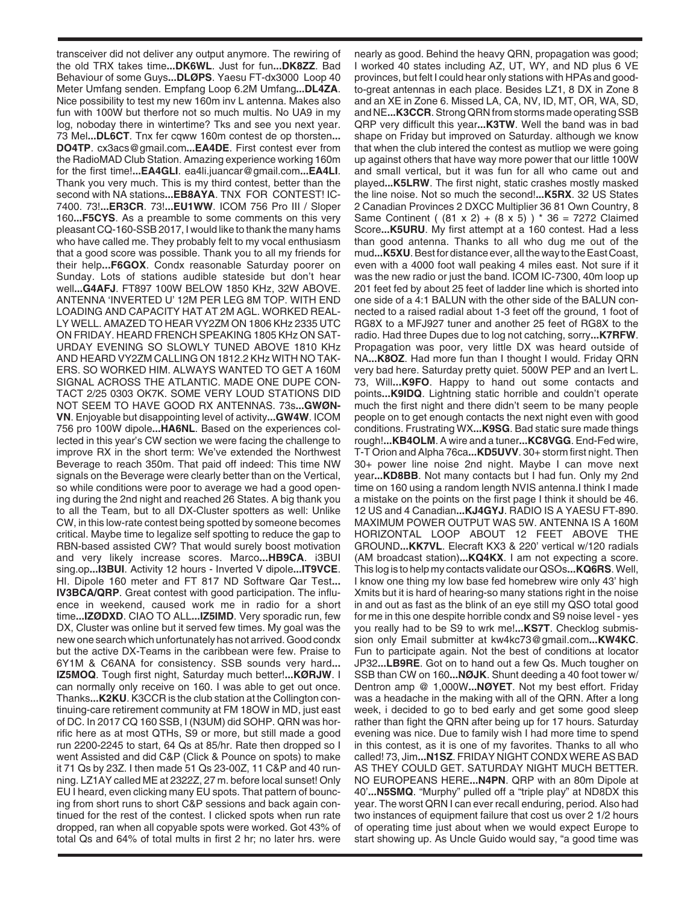transceiver did not deliver any output anymore. The rewiring of the old TRX takes time**...DK6WL**. Just for fun**...DK8ZZ**. Bad Behaviour of some Guys**...DLØPS**. Yaesu FT-dx3000 Loop 40 Meter Umfang senden. Empfang Loop 6.2M Umfang**...DL4ZA**. Nice possibility to test my new 160m inv L antenna. Makes also fun with 100W but therfore not so much multis. No UA9 in my log, noboday there in wintertime? Tks and see you next year. 73 Mel**...DL6CT**. Tnx fer cqww 160m contest de op thorsten**... DO4TP**. cx3acs@gmail.com**...EA4DE**. First contest ever from the RadioMAD Club Station. Amazing experience working 160m for the first time!**...EA4GLI**. ea4li.juancar@gmail.com**...EA4LI**. Thank you very much. This is my third contest, better than the second with NA stations**...EB8AYA**. TNX FOR CONTEST! IC-7400. 73!**...ER3CR**. 73!**...EU1WW**. ICOM 756 Pro III / Sloper 160**...F5CYS**. As a preamble to some comments on this very pleasant CQ-160-SSB 2017, I would like to thank the many hams who have called me. They probably felt to my vocal enthusiasm that a good score was possible. Thank you to all my friends for their help**...F6GOX**. Condx reasonable Saturday poorer on Sunday. Lots of stations audible stateside but don't hear well**...G4AFJ**. FT897 100W BELOW 1850 KHz, 32W ABOVE. ANTENNA 'INVERTED U' 12M PER LEG 8M TOP. WITH END LOADING AND CAPACITY HAT AT 2M AGL. WORKED REAL-LY WELL. AMAZED TO HEAR VY2ZM ON 1806 KHz 2335 UTC ON FRIDAY. HEARD FRENCH SPEAKING 1805 KHz ON SAT-URDAY EVENING SO SLOWLY TUNED ABOVE 1810 KHz AND HEARD VY2ZM CALLING ON 1812.2 KHz WITH NO TAK-ERS. SO WORKED HIM. ALWAYS WANTED TO GET A 160M SIGNAL ACROSS THE ATLANTIC. MADE ONE DUPE CON-TACT 2/25 0303 OK7K. SOME VERY LOUD STATIONS DID NOT SEEM TO HAVE GOOD RX ANTENNAS. 73s**...GWØN-VN**. Enjoyable but disappointing level of activity**...GW4W**. ICOM 756 pro 100W dipole**...HA6NL**. Based on the experiences collected in this year's CW section we were facing the challenge to improve RX in the short term: We've extended the Northwest Beverage to reach 350m. That paid off indeed: This time NW signals on the Beverage were clearly better than on the Vertical, so while conditions were poor to average we had a good opening during the 2nd night and reached 26 States. A big thank you to all the Team, but to all DX-Cluster spotters as well: Unlike CW, in this low-rate contest being spotted by someone becomes critical. Maybe time to legalize self spotting to reduce the gap to RBN-based assisted CW? That would surely boost motivation and very likely increase scores. Marco**...HB9CA**. i3BUI sing.op**...I3BUI**. Activity 12 hours - Inverted V dipole**...IT9VCE**. HI. Dipole 160 meter and FT 817 ND Software Qar Test**... IV3BCA/QRP**. Great contest with good participation. The influence in weekend, caused work me in radio for a short time**...IZØDXD**. CIAO TO ALL**...IZ5IMD**. Very sporadic run, few DX, Cluster was online but it served few times. My goal was the new one search which unfortunately has not arrived. Good condx but the active DX-Teams in the caribbean were few. Praise to 6Y1M & C6ANA for consistency. SSB sounds very hard**... IZ5MOQ**. Tough first night, Saturday much better!**...KØRJW**. I can normally only receive on 160. I was able to get out once. Thanks**...K2KU**. K3CCR is the club station at the Collington continuing-care retirement community at FM 18OW in MD, just east of DC. In 2017 CQ 160 SSB, I (N3UM) did SOHP. QRN was horrific here as at most QTHs, S9 or more, but still made a good run 2200-2245 to start, 64 Qs at 85/hr. Rate then dropped so I went Assisted and did C&P (Click & Pounce on spots) to make it 71 Qs by 23Z. I then made 51 Qs 23-00Z, 11 C&P and 40 running. LZ1AY called ME at 2322Z, 27 m. before local sunset! Only EU I heard, even clicking many EU spots. That pattern of bouncing from short runs to short C&P sessions and back again continued for the rest of the contest. I clicked spots when run rate dropped, ran when all copyable spots were worked. Got 43% of total Qs and 64% of total mults in first 2 hr; no later hrs. were

nearly as good. Behind the heavy QRN, propagation was good; I worked 40 states including AZ, UT, WY, and ND plus 6 VE provinces, but felt I could hear only stations with HPAs and goodto-great antennas in each place. Besides LZ1, 8 DX in Zone 8 and an XE in Zone 6. Missed LA, CA, NV, ID, MT, OR, WA, SD, and NE**...K3CCR**. Strong QRN from storms made operating SSB QRP very difficult this year**...K3TW**. Well the band was in bad shape on Friday but improved on Saturday. although we know that when the club intered the contest as mutliop we were going up against others that have way more power that our little 100W and small vertical, but it was fun for all who came out and played**...K5LRW**. The first night, static crashes mostly masked the line noise. Not so much the second!**...K5RX**. 32 US States 2 Canadian Provinces 2 DXCC Multiplier 36 81 Own Country, 8 Same Continent ( (81 x 2) + (8 x 5) ) \* 36 = 7272 Claimed Score**...K5URU**. My first attempt at a 160 contest. Had a less than good antenna. Thanks to all who dug me out of the mud**...K5XU**. Best for distance ever, all the way to the East Coast, even with a 4000 foot wall peaking 4 miles east. Not sure if it was the new radio or just the band. ICOM IC-7300, 40m loop up 201 feet fed by about 25 feet of ladder line which is shorted into one side of a 4:1 BALUN with the other side of the BALUN connected to a raised radial about 1-3 feet off the ground, 1 foot of RG8X to a MFJ927 tuner and another 25 feet of RG8X to the radio. Had three Dupes due to log not catching, sorry**...K7RFW**. Propagation was poor, very little DX was heard outside of NA**...K8OZ**. Had more fun than I thought I would. Friday QRN very bad here. Saturday pretty quiet. 500W PEP and an Ivert L. 73, Will**...K9FO**. Happy to hand out some contacts and points**...K9IDQ**. Lightning static horrible and couldn't operate much the first night and there didn't seem to be many people people on to get enough contacts the next night even with good conditions. Frustrating WX**...K9SG**. Bad static sure made things rough!**...KB4OLM**. A wire and a tuner**...KC8VGG**. End-Fed wire, T-T Orion and Alpha 76ca**...KD5UVV**. 30+ storm first night. Then 30+ power line noise 2nd night. Maybe I can move next year**...KD8BB**. Not many contacts but I had fun. Only my 2nd time on 160 using a random length NVIS antenna.I think I made a mistake on the points on the first page I think it should be 46. 12 US and 4 Canadian**...KJ4GYJ**. RADIO IS A YAESU FT-890. MAXIMUM POWER OUTPUT WAS 5W. ANTENNA IS A 160M HORIZONTAL LOOP ABOUT 12 FEET ABOVE THE GROUND**...KK7VL**. Elecraft KX3 & 220' vertical w/120 radials (AM broadcast station)**...KQ4KX**. I am not expecting a score. This log is to help my contacts validate our QSOs**...KQ6RS**. Well, I know one thing my low base fed homebrew wire only 43' high Xmits but it is hard of hearing-so many stations right in the noise in and out as fast as the blink of an eye still my QSO total good for me in this one despite horrible condx and S9 noise level - yes you really had to be S9 to wrk me!**...KS7T**. Checklog submission only Email submitter at kw4kc73@gmail.com**...KW4KC**. Fun to participate again. Not the best of conditions at locator JP32**...LB9RE**. Got on to hand out a few Qs. Much tougher on SSB than CW on 160**...NØJK**. Shunt deeding a 40 foot tower w/ Dentron amp @ 1,000W**...NØYET**. Not my best effort. Friday was a headache in the making with all of the QRN. After a long week, i decided to go to bed early and get some good sleep rather than fight the QRN after being up for 17 hours. Saturday evening was nice. Due to family wish I had more time to spend in this contest, as it is one of my favorites. Thanks to all who called! 73, Jim**...N1SZ**. FRIDAY NIGHT CONDX WERE AS BAD AS THEY COULD GET. SATURDAY NIGHT MUCH BETTER. NO EUROPEANS HERE**...N4PN**. QRP with an 80m Dipole at 40'**...N5SMQ**. "Murphy" pulled off a "triple play" at ND8DX this year. The worst QRN I can ever recall enduring, period. Also had two instances of equipment failure that cost us over 2 1/2 hours of operating time just about when we would expect Europe to start showing up. As Uncle Guido would say, "a good time was